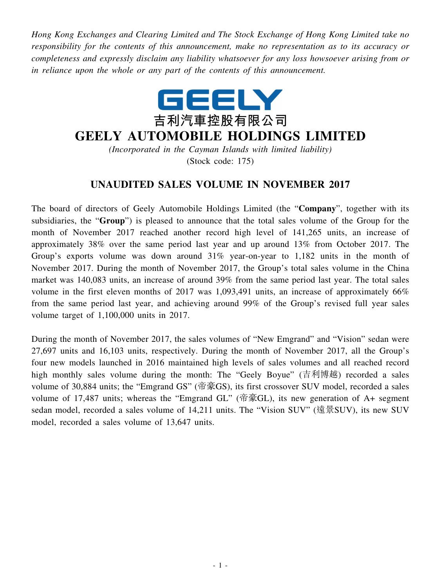*Hong Kong Exchanges and Clearing Limited and The Stock Exchange of Hong Kong Limited take no responsibility for the contents of this announcement, make no representation as to its accuracy or completeness and expressly disclaim any liability whatsoever for any loss howsoever arising from or in reliance upon the whole or any part of the contents of this announcement.*



## **GEELY AUTOMOBILE HOLDINGS LIMITED**

*(Incorporated in the Cayman Islands with limited liability)* (Stock code: 175)

## **UNAUDITED SALES VOLUME IN NOVEMBER 2017**

The board of directors of Geely Automobile Holdings Limited (the "**Company**", together with its subsidiaries, the "**Group**") is pleased to announce that the total sales volume of the Group for the month of November 2017 reached another record high level of 141,265 units, an increase of approximately 38% over the same period last year and up around 13% from October 2017. The Group's exports volume was down around 31% year-on-year to 1,182 units in the month of November 2017. During the month of November 2017, the Group's total sales volume in the China market was 140,083 units, an increase of around 39% from the same period last year. The total sales volume in the first eleven months of 2017 was 1,093,491 units, an increase of approximately 66% from the same period last year, and achieving around 99% of the Group's revised full year sales volume target of 1,100,000 units in 2017.

During the month of November 2017, the sales volumes of "New Emgrand" and "Vision" sedan were 27,697 units and 16,103 units, respectively. During the month of November 2017, all the Group's four new models launched in 2016 maintained high levels of sales volumes and all reached record high monthly sales volume during the month: The "Geely Boyue" (吉利博越) recorded a sales volume of 30,884 units; the "Emgrand GS" (帝豪GS), its first crossover SUV model, recorded a sales volume of 17,487 units; whereas the "Emgrand GL" (帝豪GL), its new generation of A+ segment sedan model, recorded a sales volume of 14,211 units. The "Vision SUV" (遠景SUV), its new SUV model, recorded a sales volume of 13,647 units.